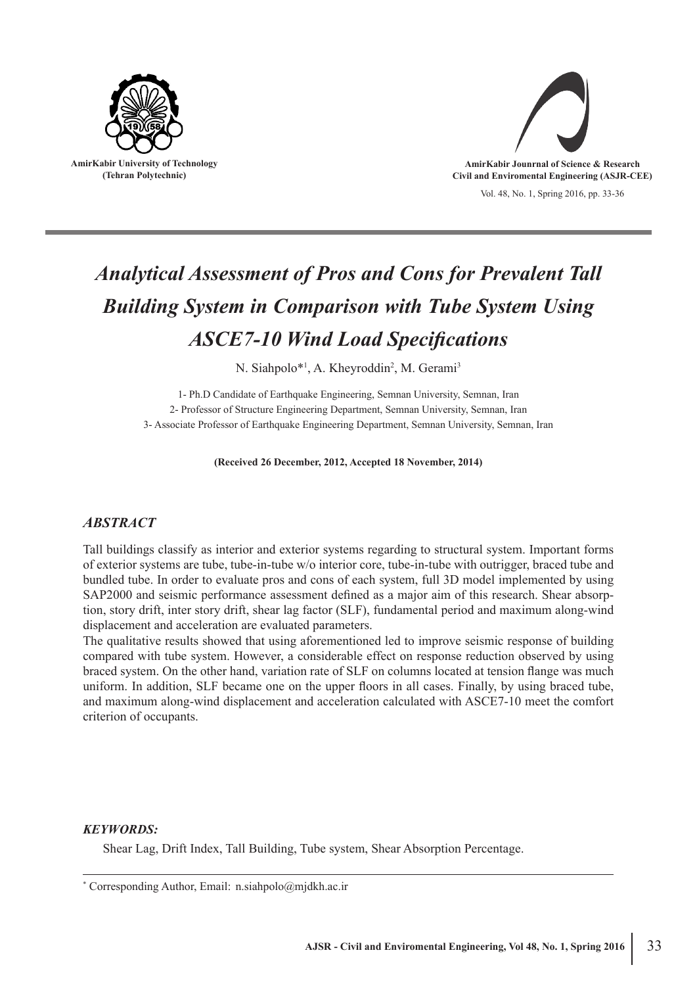



# *Analytical Assessment of Pros and Cons for Prevalent Tall Building System in Comparison with Tube System Using ASCE7-10 Wind Load Specifications*

N. Siahpolo\*<sup>1</sup>, A. Kheyroddin<sup>2</sup>, M. Gerami<sup>3</sup>

1- Ph.D Candidate of Earthquake Engineering, Semnan University, Semnan, Iran 2- Professor of Structure Engineering Department, Semnan University, Semnan, Iran 3- Associate Professor of Earthquake Engineering Department, Semnan University, Semnan, Iran

**(Received 26 December, 2012, Accepted 18 November, 2014)**

# *ABSTRACT*

Tall buildings classify as interior and exterior systems regarding to structural system. Important forms of exterior systems are tube, tube-in-tube w/o interior core, tube-in-tube with outrigger, braced tube and bundled tube. In order to evaluate pros and cons of each system, full 3D model implemented by using SAP2000 and seismic performance assessment defined as a major aim of this research. Shear absorption, story drift, inter story drift, shear lag factor (SLF), fundamental period and maximum along-wind displacement and acceleration are evaluated parameters.

The qualitative results showed that using aforementioned led to improve seismic response of building compared with tube system. However, a considerable effect on response reduction observed by using braced system. On the other hand, variation rate of SLF on columns located at tension flange was much uniform. In addition, SLF became one on the upper floors in all cases. Finally, by using braced tube, and maximum along-wind displacement and acceleration calculated with ASCE7-10 meet the comfort criterion of occupants.

#### *KEYWORDS:*

Shear Lag, Drift Index, Tall Building, Tube system, Shear Absorption Percentage.

<sup>\*</sup> Corresponding Author, Email: n.siahpolo@mjdkh.ac.ir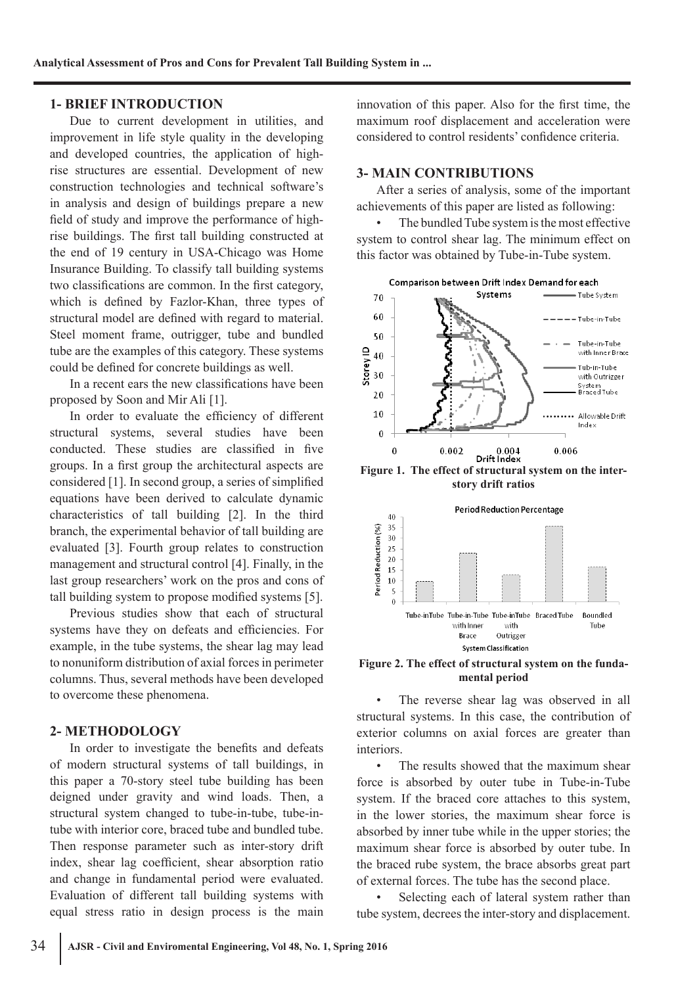## **1- BRIEF INTRODUCTION**

Due to current development in utilities, and improvement in life style quality in the developing and developed countries, the application of highrise structures are essential. Development of new construction technologies and technical software's in analysis and design of buildings prepare a new field of study and improve the performance of highrise buildings. The first tall building constructed at the end of 19 century in USA-Chicago was Home Insurance Building. To classify tall building systems two classifications are common. In the first category, which is defined by Fazlor-Khan, three types of structural model are defined with regard to material. Steel moment frame, outrigger, tube and bundled tube are the examples of this category. These systems could be defined for concrete buildings as well.

In a recent ears the new classifications have been proposed by Soon and Mir Ali [1].

In order to evaluate the efficiency of different structural systems, several studies have been conducted. These studies are classified in five groups. In a first group the architectural aspects are considered [1]. In second group, a series of simplified equations have been derived to calculate dynamic characteristics of tall building [2]. In the third branch, the experimental behavior of tall building are evaluated [3]. Fourth group relates to construction management and structural control [4]. Finally, in the last group researchers' work on the pros and cons of tall building system to propose modified systems [5].

Previous studies show that each of structural systems have they on defeats and efficiencies. For example, in the tube systems, the shear lag may lead to nonuniform distribution of axial forces in perimeter columns. Thus, several methods have been developed to overcome these phenomena.

#### **2- METHODOLOGY**

In order to investigate the benefits and defeats of modern structural systems of tall buildings, in this paper a 70-story steel tube building has been deigned under gravity and wind loads. Then, a structural system changed to tube-in-tube, tube-intube with interior core, braced tube and bundled tube. Then response parameter such as inter-story drift index, shear lag coefficient, shear absorption ratio and change in fundamental period were evaluated. Evaluation of different tall building systems with equal stress ratio in design process is the main

innovation of this paper. Also for the first time, the maximum roof displacement and acceleration were considered to control residents' confidence criteria.

## **3- MAIN CONTRIBUTIONS**

After a series of analysis, some of the important achievements of this paper are listed as following:

The bundled Tube system is the most effective system to control shear lag. The minimum effect on this factor was obtained by Tube-in-Tube system.





**Figure 2. The effect of structural system on the fundamental period**

• The reverse shear lag was observed in all structural systems. In this case, the contribution of exterior columns on axial forces are greater than interiors.

The results showed that the maximum shear force is absorbed by outer tube in Tube-in-Tube system. If the braced core attaches to this system, in the lower stories, the maximum shear force is absorbed by inner tube while in the upper stories; the maximum shear force is absorbed by outer tube. In the braced rube system, the brace absorbs great part of external forces. The tube has the second place.

Selecting each of lateral system rather than tube system, decrees the inter-story and displacement.